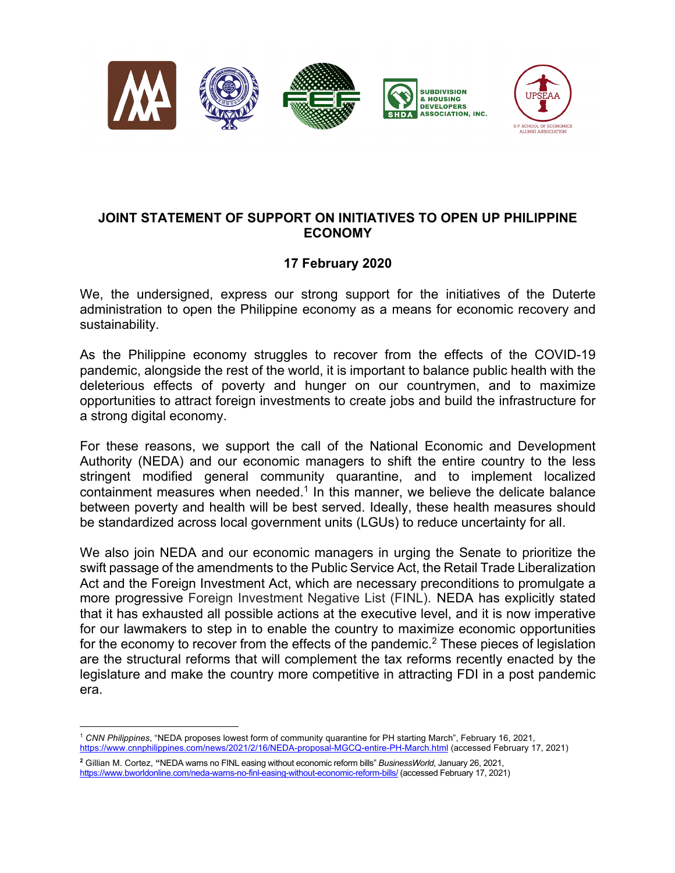



## **JOINT STATEMENT OF SUPPORT ON INITIATIVES TO OPEN UP PHILIPPINE ECONOMY**

## **17 February 2020**

We, the undersigned, express our strong support for the initiatives of the Duterte administration to open the Philippine economy as a means for economic recovery and sustainability.

As the Philippine economy struggles to recover from the effects of the COVID-19 pandemic, alongside the rest of the world, it is important to balance public health with the deleterious effects of poverty and hunger on our countrymen, and to maximize opportunities to attract foreign investments to create jobs and build the infrastructure for a strong digital economy.

For these reasons, we support the call of the National Economic and Development Authority (NEDA) and our economic managers to shift the entire country to the less stringent modified general community quarantine, and to implement localized containment measures when needed.<sup>1</sup> In this manner, we believe the delicate balance between poverty and health will be best served. Ideally, these health measures should be standardized across local government units (LGUs) to reduce uncertainty for all.

We also join NEDA and our economic managers in urging the Senate to prioritize the swift passage of the amendments to the Public Service Act, the Retail Trade Liberalization Act and the Foreign Investment Act, which are necessary preconditions to promulgate a more progressive Foreign Investment Negative List (FINL). NEDA has explicitly stated that it has exhausted all possible actions at the executive level, and it is now imperative for our lawmakers to step in to enable the country to maximize economic opportunities for the economy to recover from the effects of the pandemic.<sup>2</sup> These pieces of legislation are the structural reforms that will complement the tax reforms recently enacted by the legislature and make the country more competitive in attracting FDI in a post pandemic era.

<sup>1</sup> *CNN Philippines*, "NEDA proposes lowest form of community quarantine for PH starting March", February 16, 2021, https://www.cnnphilippines.com/news/2021/2/16/NEDA-proposal-MGCQ-entire-PH-March.html (accessed February 17, 2021)

**<sup>2</sup>** Gillian M. Cortez, **"**NEDA warns no FINL easing without economic reform bills" *BusinessWorld*, January 26, 2021, https://www.bworldonline.com/neda-warns-no-finl-easing-without-economic-reform-bills/ (accessed February 17, 2021)